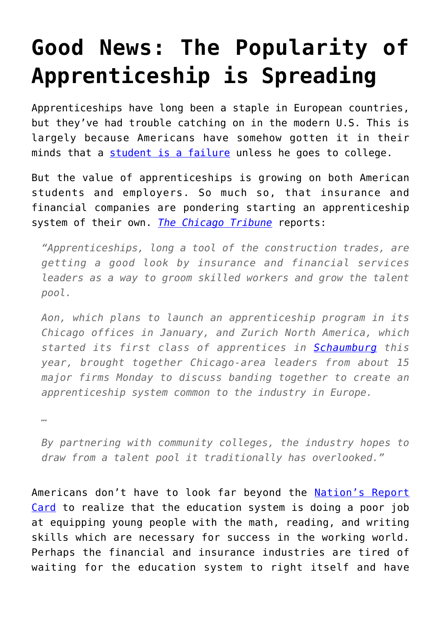## **[Good News: The Popularity of](https://intellectualtakeout.org/2016/03/good-news-the-popularity-of-apprenticeship-is-spreading/) [Apprenticeship is Spreading](https://intellectualtakeout.org/2016/03/good-news-the-popularity-of-apprenticeship-is-spreading/)**

Apprenticeships have long been a staple in European countries, but they've had trouble catching on in the modern U.S. This is largely because Americans have somehow gotten it in their minds that a [student is a failure](https://www.intellectualtakeout.org/blog/apprenticeships-are-not-sign-failure) unless he goes to college.

But the value of apprenticeships is growing on both American students and employers. So much so, that insurance and financial companies are pondering starting an apprenticeship system of their own. *[The Chicago Tribune](http://www.chicagotribune.com/business/ct-insurance-apprenticeships-aon-zurich-0308-biz-20160307-story.html)* reports:

*"Apprenticeships, long a tool of the construction trades, are getting a good look by insurance and financial services leaders as a way to groom skilled workers and grow the talent pool.*

*Aon, which plans to launch an apprenticeship program in its Chicago offices in January, and Zurich North America, which started its first class of apprentices in [Schaumburg](http://www.chicagotribune.com/topic/chicago-suburbs/schaumburg-CHIS0070-topic.html) this year, brought together Chicago-area leaders from about 15 major firms Monday to discuss banding together to create an apprenticeship system common to the industry in Europe.*

*…*

*By partnering with community colleges, the industry hopes to draw from a talent pool it traditionally has overlooked."*

Americans don't have to look far beyond the [Nation's Report](http://www.nationsreportcard.gov/dashboards/report_card.aspx) [Card](http://www.nationsreportcard.gov/dashboards/report_card.aspx) to realize that the education system is doing a poor job at equipping young people with the math, reading, and writing skills which are necessary for success in the working world. Perhaps the financial and insurance industries are tired of waiting for the education system to right itself and have